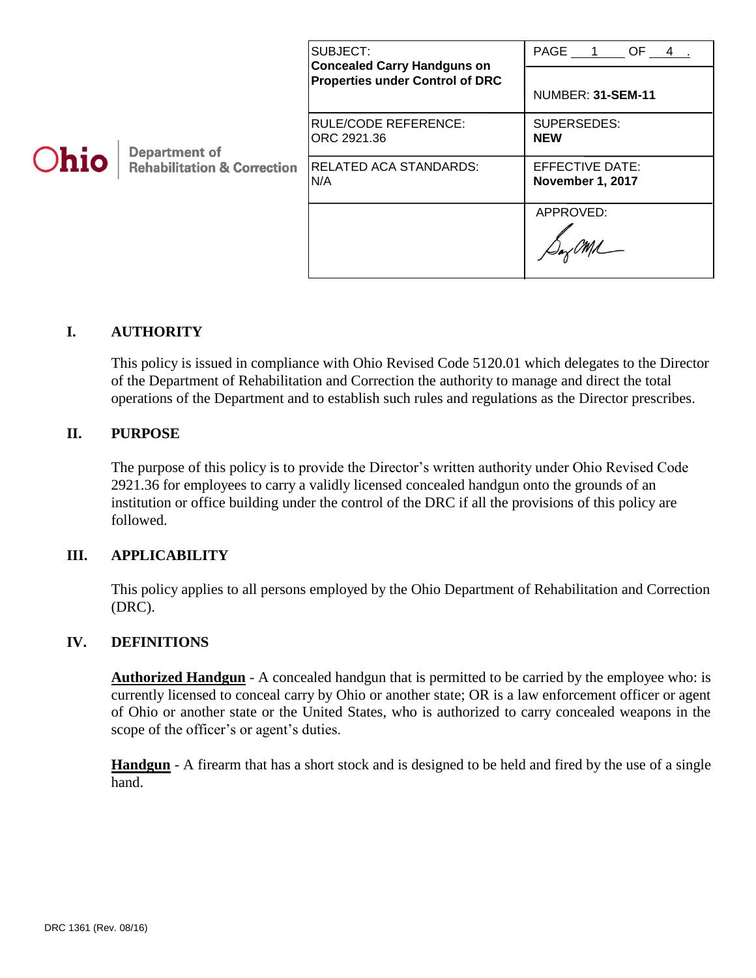| <b>Ohio</b> | <b>Department of</b><br><b>Rehabilitation &amp; Correction</b> | SUBJECT:<br><b>Concealed Carry Handguns on</b><br><b>Properties under Control of DRC</b> | PAGE 1 OF 4.<br>NUMBER: 31-SEM-11   |
|-------------|----------------------------------------------------------------|------------------------------------------------------------------------------------------|-------------------------------------|
|             |                                                                | RULE/CODE REFERENCE:<br>ORC 2921.36                                                      | SUPERSEDES:<br><b>NEW</b>           |
|             |                                                                | <b>RELATED ACA STANDARDS:</b><br>N/A                                                     | EFFECTIVE DATE:<br>November 1, 2017 |
|             |                                                                |                                                                                          | APPROVED:                           |

## **I. AUTHORITY**

This policy is issued in compliance with Ohio Revised Code 5120.01 which delegates to the Director of the Department of Rehabilitation and Correction the authority to manage and direct the total operations of the Department and to establish such rules and regulations as the Director prescribes.

#### **II. PURPOSE**

The purpose of this policy is to provide the Director's written authority under Ohio Revised Code 2921.36 for employees to carry a validly licensed concealed handgun onto the grounds of an institution or office building under the control of the DRC if all the provisions of this policy are followed.

#### **III. APPLICABILITY**

This policy applies to all persons employed by the Ohio Department of Rehabilitation and Correction (DRC).

## **IV. DEFINITIONS**

**Authorized Handgun** - A concealed handgun that is permitted to be carried by the employee who: is currently licensed to conceal carry by Ohio or another state; OR is a law enforcement officer or agent of Ohio or another state or the United States, who is authorized to carry concealed weapons in the scope of the officer's or agent's duties.

**Handgun** - A firearm that has a short stock and is designed to be held and fired by the use of a single hand.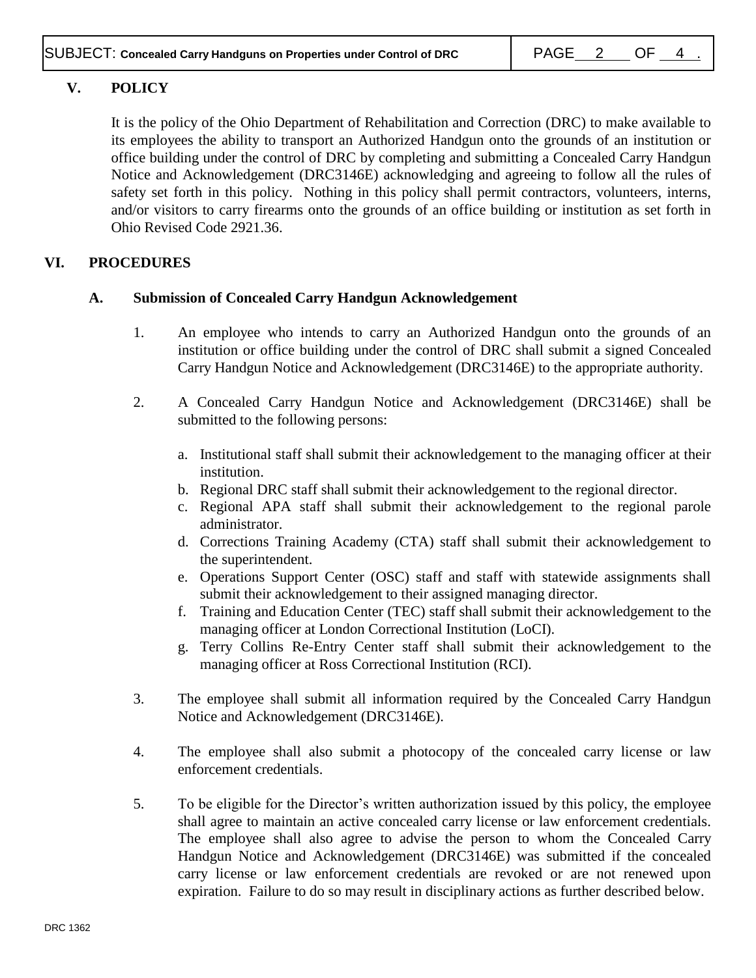# **V. POLICY**

It is the policy of the Ohio Department of Rehabilitation and Correction (DRC) to make available to its employees the ability to transport an Authorized Handgun onto the grounds of an institution or office building under the control of DRC by completing and submitting a Concealed Carry Handgun Notice and Acknowledgement (DRC3146E) acknowledging and agreeing to follow all the rules of safety set forth in this policy. Nothing in this policy shall permit contractors, volunteers, interns, and/or visitors to carry firearms onto the grounds of an office building or institution as set forth in Ohio Revised Code 2921.36.

## **VI. PROCEDURES**

## **A. Submission of Concealed Carry Handgun Acknowledgement**

- 1. An employee who intends to carry an Authorized Handgun onto the grounds of an institution or office building under the control of DRC shall submit a signed Concealed Carry Handgun Notice and Acknowledgement (DRC3146E) to the appropriate authority.
- 2. A Concealed Carry Handgun Notice and Acknowledgement (DRC3146E) shall be submitted to the following persons:
	- a. Institutional staff shall submit their acknowledgement to the managing officer at their institution.
	- b. Regional DRC staff shall submit their acknowledgement to the regional director.
	- c. Regional APA staff shall submit their acknowledgement to the regional parole administrator.
	- d. Corrections Training Academy (CTA) staff shall submit their acknowledgement to the superintendent.
	- e. Operations Support Center (OSC) staff and staff with statewide assignments shall submit their acknowledgement to their assigned managing director.
	- f. Training and Education Center (TEC) staff shall submit their acknowledgement to the managing officer at London Correctional Institution (LoCI).
	- g. Terry Collins Re-Entry Center staff shall submit their acknowledgement to the managing officer at Ross Correctional Institution (RCI).
- 3. The employee shall submit all information required by the Concealed Carry Handgun Notice and Acknowledgement (DRC3146E).
- 4. The employee shall also submit a photocopy of the concealed carry license or law enforcement credentials.
- 5. To be eligible for the Director's written authorization issued by this policy, the employee shall agree to maintain an active concealed carry license or law enforcement credentials. The employee shall also agree to advise the person to whom the Concealed Carry Handgun Notice and Acknowledgement (DRC3146E) was submitted if the concealed carry license or law enforcement credentials are revoked or are not renewed upon expiration. Failure to do so may result in disciplinary actions as further described below.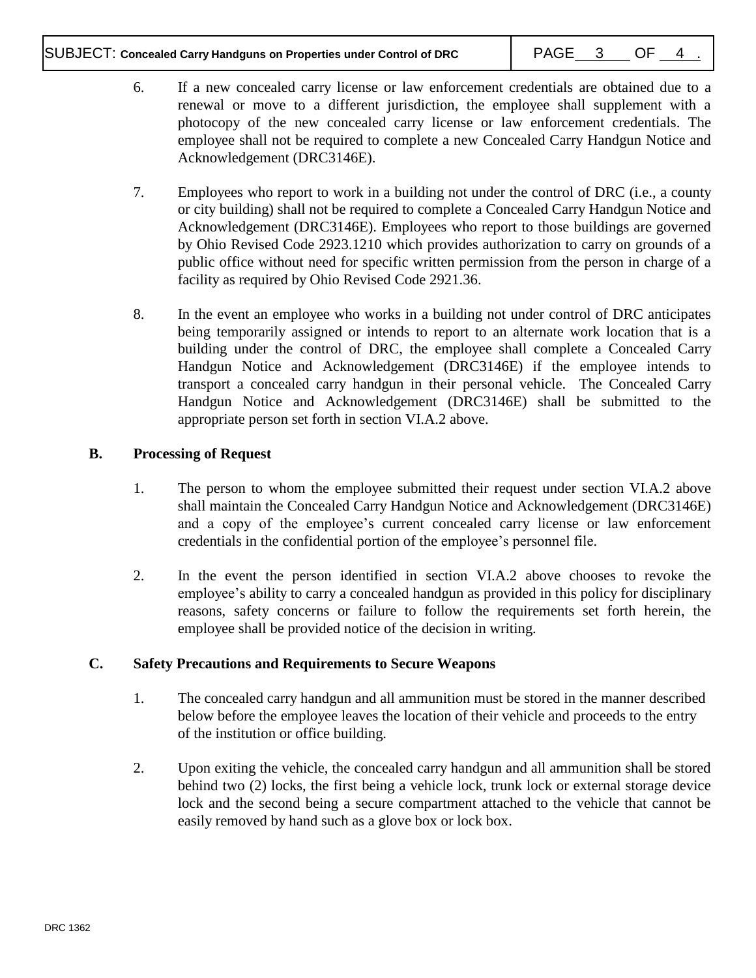## SUBJECT: Concealed Carry Handguns on Properties under Control of DRC  $\vert$  PAGE 3 OF 4

- 6. If a new concealed carry license or law enforcement credentials are obtained due to a renewal or move to a different jurisdiction, the employee shall supplement with a photocopy of the new concealed carry license or law enforcement credentials. The employee shall not be required to complete a new Concealed Carry Handgun Notice and Acknowledgement (DRC3146E).
- 7. Employees who report to work in a building not under the control of DRC (i.e., a county or city building) shall not be required to complete a Concealed Carry Handgun Notice and Acknowledgement (DRC3146E). Employees who report to those buildings are governed by Ohio Revised Code 2923.1210 which provides authorization to carry on grounds of a public office without need for specific written permission from the person in charge of a facility as required by Ohio Revised Code 2921.36.
- 8. In the event an employee who works in a building not under control of DRC anticipates being temporarily assigned or intends to report to an alternate work location that is a building under the control of DRC, the employee shall complete a Concealed Carry Handgun Notice and Acknowledgement (DRC3146E) if the employee intends to transport a concealed carry handgun in their personal vehicle. The Concealed Carry Handgun Notice and Acknowledgement (DRC3146E) shall be submitted to the appropriate person set forth in section VI.A.2 above.

## **B. Processing of Request**

- 1. The person to whom the employee submitted their request under section VI.A.2 above shall maintain the Concealed Carry Handgun Notice and Acknowledgement (DRC3146E) and a copy of the employee's current concealed carry license or law enforcement credentials in the confidential portion of the employee's personnel file.
- 2. In the event the person identified in section VI.A.2 above chooses to revoke the employee's ability to carry a concealed handgun as provided in this policy for disciplinary reasons, safety concerns or failure to follow the requirements set forth herein, the employee shall be provided notice of the decision in writing.

## **C. Safety Precautions and Requirements to Secure Weapons**

- 1. The concealed carry handgun and all ammunition must be stored in the manner described below before the employee leaves the location of their vehicle and proceeds to the entry of the institution or office building.
- 2. Upon exiting the vehicle, the concealed carry handgun and all ammunition shall be stored behind two (2) locks, the first being a vehicle lock, trunk lock or external storage device lock and the second being a secure compartment attached to the vehicle that cannot be easily removed by hand such as a glove box or lock box.